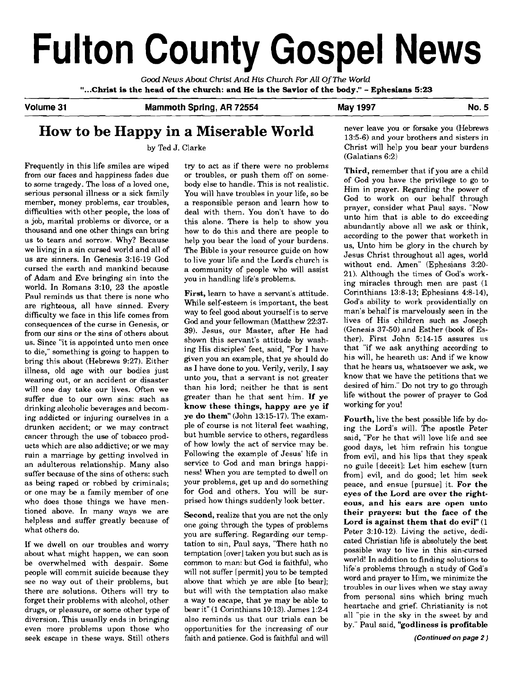# **Fulton County Gospel News**

**Good** News About Christ And **His** Church For All Of **The** World **"...Christ is the head of the church: and He is the Savior of the body."** - **Ephesians 5:23** 

**Volume 31 Mammoth Spring, AR 72554 May 1997 No. 5** 

# **How to be Happy in a Miserable World**

by Ted J. Clarke

Frequently in this life smiles are wiped from our faces and happiness fades due to some tragedy. The loss of a loved one, serious personal illness or a sick family member, money problems, car troubles, difficulties with other people, the loss of a job, marital problems or divorce, or a thousand and one other things can bring us to tears and sorrow. Why? Because we living in a sin cursed world and all of us are sinners. In Genesis 3:16-19 God cursed the earth and mankind because of Adam and Eve bringing sin into the world. In Romans 3:10, 23 the apostle Paul reminds us that there is none who are righteous, all have sinned. Every difficulty we face in this life comes from consequences of the curse in Genesis, or from our sins or the sins of others about us. Since "it is appointed unto men once to die," something is going to happen to bring this about (Hebrews 9:27). Either illness, old age with our bodies just wearing out, or an accident or disaster will one day take our lives. Often we suffer due to our own sins: such as drinking alcoholic beverages and becoming addicted or injuring ourselves in a drunken accident; or we may contract cancer through the use of tobacco products which are also addictive; or we may ruin a marriage by getting involved in an adulterous relationship. Many also suffer because of the sins of others: such as being raped or robbed by criminals; or one may be a family member of one who does those things we have mentioned above. In many ways we are helpless and suffer greatly because of what others do.

If we dwell on our troubles and worry about what might happen, we can soon be overwhelmed with despair. Some people will commit suicide because they see no way out of their problems, but there are solutions. Others will try to forget their problems with alcohol, other drugs, or pleasure, or some other type of diversion. This usually ends in bringing even more problems upon those who seek escape in these ways. Still others

try to act as if there were no problems or troubles, or push them off on somebody else to handle. This is not realistic. You will have troubles in your life, so be a responsible person and learn how to deal with them. You don't have to do this alone. There is help to show you how to do this and there are people to help you bear the load of your burdens. The Bible is your resource guide on how to live your life and the Lord's church is a community of people who will assist you in handling life's problems.

First, learn to have a servant's attitude. While self-esteem is important, the best way to feel good about yourself is to serve **God** and your fellowman (Matthew 22:37- 39). Jesus, our Master, after He had shown this servant's attitude by washing His disciples' feet, said, "For I have given you an example, that ye should do as I have done to you. Verily, verily, I say unto you, that a servant is not greater than his lord; neither he that is sent greater than he that sent him. **If ye know these things, happy are ye if ye do them"** (John 13:15-17). The example of course is not literal feet washing, but humble service to others, regardless of how lowly the act of service may be. Following the example of Jesus' life in service to God and man brings happiness! When you are tempted to dwell on your problems, get up and do something for God and others. You will be surprised how things suddenly look better.

**Second,** realize that you are not the only one going through the types of problems you are suffering. Regarding our temptation to sin, Paul says, "There hath no temptation [over] taken you but such as is common to man: but God is faithful, who will not suffer [permit] you **to** be tempted above that which ye are able [to bear]; but will with the temptation also make a way to escape, that ye may be able to bear it" (1 Corinthians 10:13). James 1:24 also reminds us that our trials can be opportunities for the increasing of our faith and patience. God is faithful and will never leave you or forsake you (Hebrews 13:5-6) and your brothers and sisters in Christ will help you bear your burdens (Galatians 6:2)

**Third,** remember that if you are a child of God you have the privilege to go to Him in prayer. Regarding the power of God to work on our behalf through prayer, consider what Paul says. "Now unto him that is able to do exceeding abundantly above all we ask or think, according to the power that worketh in us, Unto him be glory in the church by Jesus Christ throughout all ages, world without end. Amen" (Ephesians 3:20- 21). Although the times of God's working miracles through men are past (1 Corinthians 13:8-13; Ephesians 4:8-14), God's ability to work providentially on man's behalf is marvelously seen in the lives of His children such as Joseph (Genesis 37-50) and Esther (book of Esther). First John 5:14-15 assures us that "if we ask anything according to his will, he heareth us: And if we know that he hears us, whatsoever we ask, we know that we have the petitions that we desired of him." Do not try to go through life without the power of prayer to God working for you!

**Fourth,** live the best possible life by doing the Lord's will. The apostle Peter said, "For he that will love life and see good days, let him refrain his tongue from evil, and his lips that they speak no guile [deceit]: Let him eschew [turn from] evil, and do good; let him seek peace, and ensue [pursue] it. **For the eyes of the Lord are over the righteous, and his ears are open unto their prayers: but the face of the Lord is against them that do evil"** (1 Peter 3:lO-12). Living the active, dedicated Christian life is absolutely the best possible way to live in this sin-cursed world! In addition to finding solutions to life's problems through a study of God's word and prayer to Him, we minimize the troubles in our lives when we stay away from personal sins which bring much heartache and grief. Christianity is not all "pie in the sky in the sweet by and by." Paul said, **"godliness is profitable**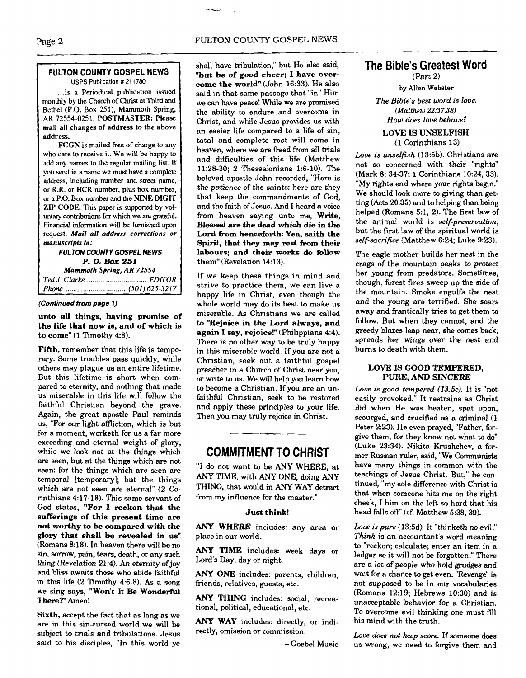# Page 2

#### **FULTON COUNTY GOSPEL NEWS USPS** Publication *t* **21 1780**

... is a Periodical publication issued monthly by the Church of Christ at Third and Bethel (P.O. Box 251). Mammoth Spring. AR 72554-0251. **POSTMASTER:** Please mail all changes of address to the above address.

FCGN is mailed **free** of charge to any who care to receive it. We will **be** happy to add any names to the regular mailing list **If**  you send in a name we must have a complete address, including number and street name, or R.R. or **HCR** number, plus box number. or a P.O. Box number and the NINE DIGIT ZIP **CODE.** This **paper** is supported by voluntary contributions for which we are grateful. **Financial** information will be furnished upon request. *Mail all* address *corrections or manuscripts to:* 

**FULTON COUNTY GOSPEL NEWS P. 0.** BOX *251 Mammoth* **Spring,** *AR 72554 Ted J. Clarke* ............................... *EDITOR* 

*Phone* ............................... (501) 625-321 7

#### **(Continued from page 1)**

**unto all things, having promise of the life that now is, and of which is**  to come" (1 Timothy 4:8).

**Fifth,** remember that this life is temporary. Some troubles pass quickly, while others may plague us an entire lifetime. But this lifetime is short when compared to eternity, and nothing that made us miserable in this life will follow the faithful Christian beyond the grave. Again, the great apostle Paul reminds us, "For our light affliction, which is but for a moment, worketh for us a far more exceeding and eternal weight of glory, while we look not at the things which are seen, but at the things which are not seen: for the things which are seen are temporal [temporary]; but the things which are not seen are eternal" (2 Corinthians 4:17-18). This same servant of God states, **"For I reckon that the sufferings of this present time are not worthy to be compared with the glory that shall be revealed in us"**  (Romans 8:18). In heaven there will be no sin, sorrow, pain, tears, death, or any such thing (Revelation 21:4). An eternity of joy and bliss awaits those who abide faithful in this life  $(2$  Timothy 4:6-8). As a song we sing says, **"Won't It** Be **Wonderful There?"** Amen!

**Sixth,** accept the fact that as long as we are in this sin-cursed world we will be subject to trials and tribulations. Jesus said to his disciples, "In this world ye

shall have tribulation," but He also said, "but **be** of **good cheer; I have overcome the world"** (John 16:33). He also said in that same passage that "in" Him we can have peace! While we are promised the ability to endure and overcome in Christ, and while Jesus provides us with an easier life compared to a life of sin, total and complete rest will come in heaven, where we are freed from all trials and difficulties of this life (Matthew 11:28-30; 2 Thessalonians 1:6- 10). The beloved apostle John recorded, "Here is the patience of the saints: here are they that keep the commandments of God, and the faith of Jesus. And I heard a voice from heaven saying unto me, **Write, Blessed are the dead which die in the**  Lord from henceforth: Yea, saith the **Spirit, that they may rest from their labours; and their works do follow them"** (Revelation 14:13).

If we keep these things in mind and strive to practice them, we can live a happy life in Christ, even though the whole world may do its best to make us miserable. As Christians we are called to **"Rejoice in the Lard always, and**  again I say, rejoice!" (Philippians 4:4). There is no other way to be truly happy in this miserable world. If you are not a Christian, seek out a faithful gospel preacher in a Church of Christ near you, or **write** to us. We will help you learn how to become a Christian. If you are an unfaithful christian, seek to be restored and apply these principles to your life. Then you may truly rejoice in Christ.

# **COMMITMENT TO CHRIST**

"I do not want to be ANY WHERE, at ANY TIME, with ANY ONE, doing ANY THING, that would in ANY WAY detract from my influence for the master."

## **Just think!**

**ANY** WHERE includes: any area or place in our world.

ANY TIME includes: week days or Lord's Day, day or night.

ANY ONE includes: parents, children, friends, relatives, guests, etc.

ANY THING includes: social, recreational, political, educational, etc.

ANY **WAY** includes: directly, or indirectly, omission or commission.

- Goebel Music

# **The Bible's Greatest Word**

(Part 2) by Allen Webster

The Bible's best *word* is love. **(Matthew 22:37,38)**  How does love behave?

## **LOVE IS UNSELFISH**  (1 Corinthians 13)

Love is unselfish (13:5b). Christians are not so concerned with their "rights" (Mark 8: 34-37; 1 Corinthians 10:24,33). "My rights end where your rights begin." We should look more to giving than getting (Acts 20:35) and to helping than being helped (Romans 5:1, 2). The first law of the animal world is self-preservation, but the first law of the spiritual world is self-sacrifice (Matthew 6:24; Luke 9:23).

The eagle mother builds her nest in the crags of the mountain peaks to protect her young from predators. Sometimes, though, forest fires sweep up the side of the mountain. Smoke engulfs the nest and the young are terrified. She soars away and Frantically tries to get them to follow. But when they cannot, and the greedy blazes leap near, she comes back, spreads her wings over the nest and bums to death with them.

## **LOVE IS GOOD TEMPERED, PURE, AND SINCERE**

Love is good tempered (13.5c). It is "not easily provoked." It restrains as Christ did when He was beaten, spat upon, scourged, and crucified as a criminal (1 Peter 2:23). He even prayed, "Father, forgive them, for they know not what to do" (Luke 23:34). Nikita Krushchev, a former Russian ruler, said, 'We Communists have many things in common with the teachings of Jesus Christ. But," he continued, "my sole difference with Christ is that when someone hits me on the right cheek, I him on the left so hard that his head falls off" (cf. Matthew 5:38, 39).

*Low* **is** pure **(13:5d).** It "thinketh no evil." Think is an accountant's word meaning to "reckon; calculate; enter an item in a ledger **so** it will not be forgotten." There are a lot of people who hold grudges and wait for a chance to get even. "Revenge" is not supposed to **be** in our vocabularies (Romans 12:19; Hebrews 10:30) and is unacceptable behavior for a Christian. To overcome evil thinking one must fill his mind with the truth.

Love does **not** keep score. If someone does us wrong, we need to forgive them and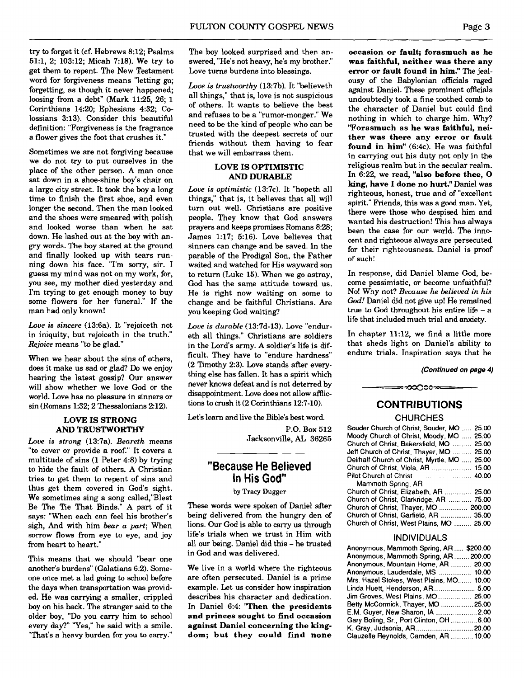try to forget it (cf. Hebrews 8:12; Psalms 51:1, 2; 103:12; Micah 7:18). We try to get them to repent. The New Testament word for forgiveness means "letting go; forgetting, **as** though it never happened; loosing from a debt" (Mark 11:25, 26; 1 Corinthians 14:20; Ephesians 4:32; Colossians 3:13). Consider this beautiful definition: "Forgiveness is the fragrance a flower gives the foot that crushes it."

Sometimes we are not forgiving because we do not try to put ourselves in the place of the other person. A man once sat down in a shoe-shine boy's chair on a large city street. It took the boy a long time to finish the first shoe, and even longer the second. Then the man looked and the shoes were smeared with polish and looked worse than when he sat down. He lashed out at the boy with angry words. The boy stared at the ground and finally looked up with tears running down his face. "I'm sorry, sir. I guess my mind was not on my work, for, you see, my mother died yesterday and I'm trying to get enough money **to** buy some flowers for her funeral." If the man had only known!

*Love is sincere* (13:6a). It "rejoiceth not in iniquity, but rejoiceth in the truth." *Rejoice* means "to be glad."

When we hear about the sins of others, does it make us sad or glad? Do we enjoy hearing the latest gossip? Our answer will show whether we love God or the world. Love has no pleasure in sinners or sin (Romans 1:32; 2 Thessalonians 2:12).

## **LOVE IS STRONG AND TRUSTWORTHY**

*Loue* **is** *strong* (13:7a). *Beareth* means "to cover or provide a roof." It covers a multitude of sins (1 Peter 4:8) by trying to hide the fault of others. A Christian tries to get them to repent of sins and thus get them covered in God's sight. We sometimes sing a song called,"Blest Be The Tie That Binds." A part of it says: "When each can feel his brother's sigh, And with him *bear a part;* When sorrow flows from eye to eye, and joy from heart to heart."

This means that we should "bear one another's burdens" (Galatians 6:2). Someone once met a lad going to school before the days when transportation was provided. He was carrying a smaller, crippled boy on his back. The stranger said to the older boy, "Do you carry him to school every day?" "Yes," he said with a smile. "That's a heavy burden for you to carry."

The boy looked surprised and then answered, "He's not heavy, he's my brother." Love turns burdens into blessings.

*Love is trustworthy* (13:7b). It "believeth all things," that is, love is not suspicious of others. It wants to believe the best and refuses to be a "rumor-monger." We need **to** be the kind of people who can be trusted with the deepest secrets of our friends without them having to fear that we will embarrass them.

# **LOVE IS OPTIMISTIC AND DURABLE**

*Loue is optimistic* (13:7c). It "hopeth all things," that is, it believes that all will turn out well. Christians are positive people. They know that God answers prayers and keeps promises Romans 8:28; James 1:17; 5:16). Love believes that sinners can change and be saved. In the parable of the Prodigal Son, the Father waited and watched for His wayward son to return (Luke 15). When we go astray, God has the same attitude toward us. He is right now waiting on some to change and be faithful Christians. Are you keeping God waiting?

*Love is durable* (13:7d-13). Love "endureth all things." Christians are soldiers in the Lord's army. A soldier's life is difficult. They have to "endure hardness"  $(2$  Timothy 2:3). Love stands after everything else has fallen. It has a spirit which never knows defeat and is not deterred by disappointment. Love does not allow afflictions to crush it (2 Corinthians 12:7-10).

Let's learn and live the Bible's best word.

P.O. Box 512 Jacksonville, **AL** 36265

# **"Because He Believed In His God"**

**by Tracy** Dugger

These words were spoken of Daniel after being delivered from the hungry den of lions. Our God is able to **carry** us through life's trials when we trust in Him with all our being. Daniel did this - he trusted in God and was delivered.

We live in a world where the righteous are often persecuted. Daniel is a prime example. Let us consider how inspiration describes his character and dedication. In Daniel 6:4: **'Then the presidents and princes sought to find occasion against Daniel concerning the kingdom; but they could find none** 

**occasion or fault; forasmuch as he was faithful, neither was there any error or fault found in him."** The jealousy of the Babylonian officials raged against Daniel. These prominent officials undoubtedly took a fine toothed comb to the character of Daniel but could find nothing in which to charge him. Why? **"Forasmuch as he was faithful, neither was there any error or fault found in him"** (6:4c). He was faithful in carrying out his duty not only in the religious realm but in the secular realm. In 6:22, we read, **"also before thee, 0 king, have I done no hurt."** Daniel was righteous, honest, true and of "excellent spirit." Friends, this was a good man. Yet, there were those who despised him and wanted his destruction! This has always been the case for our world. The innocent and righteous always are persecuted for their righteousness. Daniel is proof of such!

In response, did Daniel blame God, become pessimistic, or become unfaithful? No! Why not? *Because he believed in his God!* Daniel did not give up! He remained true to God throughout his entire life  $-$  a life that included much trial and anxiety.

In chapter 11:12, we find a little more that sheds light on Daniel's ability to endure trials. Inspiration says that he

**(Continued on page 4)** 

# **CONTRIBUTIONS**

≕∞೦೧೦೦∞≔

# **CHURCHES**

| Souder Church of Christ, Souder, MO  25.00   |  |
|----------------------------------------------|--|
| Moody Church of Christ, Moody, MO , 25.00    |  |
| Church of Christ, Bakersfield, MO  25.00     |  |
| Jeff Church of Christ, Thayer, MO  25.00     |  |
| Dellhalf Church of Christ, Myrtle, MO  25.00 |  |
| Church of Christ, Viola, AR  15.00           |  |
|                                              |  |
| Mammoth Spring, AR                           |  |
| Church of Christ, Elizabeth, AR  25.00       |  |
| Church of Christ, Clarkridge, AR  75.00      |  |
| Church of Christ, Thayer, MO  200.00         |  |
| Church of Christ, Garfield, AR  35.00        |  |
| Church of Christ, West Plains, MO  25.00     |  |
|                                              |  |

## INDIVIDUALS

| Anonymous, Mammoth Spring, AR \$200.00   |  |
|------------------------------------------|--|
| Anonymous, Mammoth Spring, AR200.00      |  |
| Anonymous, Mountain Home, AR  20.00      |  |
| Anonymous, Lauderdale, MS  10.00         |  |
| Mrs. Hazel Stokes, West Plains, MO 10.00 |  |
| Linda Huett, Henderson, AR 5.00          |  |
| Jim Groves, West Plains, MO 25.00        |  |
| Betty McCormick, Thayer, MO 25.00        |  |
| E.M. Guyer, New Sharon, IA  2.00         |  |
| Gary Boling, Sr., Port Clinton, OH6.00   |  |
|                                          |  |
| Clauzelle Reynolds, Camden, AR  10.00    |  |